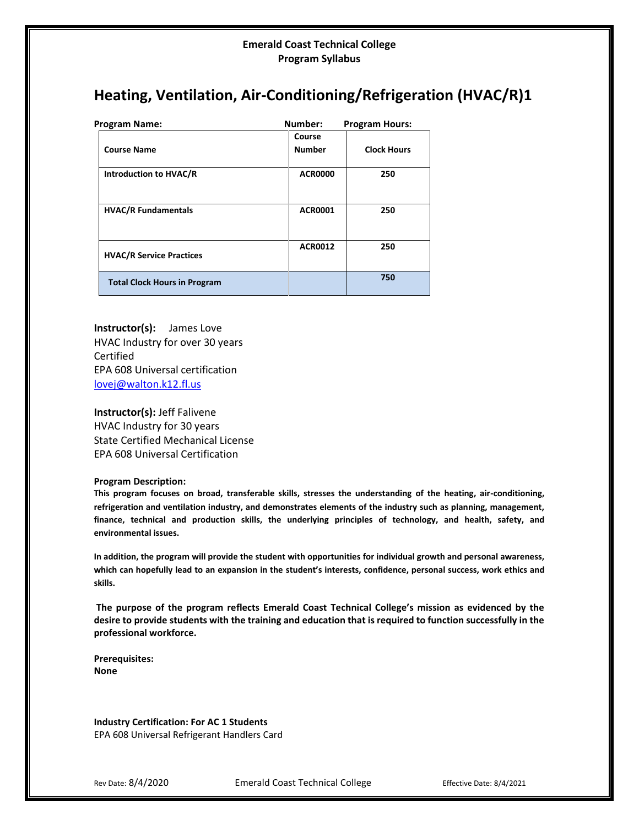# **Heating, Ventilation, Air-Conditioning/Refrigeration (HVAC/R)1**

| Program Name:                       | Number:                 | <b>Program Hours:</b> |  |
|-------------------------------------|-------------------------|-----------------------|--|
| <b>Course Name</b>                  | Course<br><b>Number</b> | <b>Clock Hours</b>    |  |
| Introduction to HVAC/R              | <b>ACR0000</b>          | 250                   |  |
| <b>HVAC/R Fundamentals</b>          | <b>ACR0001</b>          | 250                   |  |
| <b>HVAC/R Service Practices</b>     | <b>ACR0012</b>          | 250                   |  |
| <b>Total Clock Hours in Program</b> |                         | 750                   |  |

**Instructor(s):** James Love HVAC Industry for over 30 years Certified EPA 608 Universal certification [lovej@walton.k12.fl.us](mailto:lovej@walton.k12.fl.us)

**Instructor(s):** Jeff Falivene HVAC Industry for 30 years State Certified Mechanical License EPA 608 Universal Certification

#### **Program Description:**

**This program focuses on broad, transferable skills, stresses the understanding of the heating, air-conditioning, refrigeration and ventilation industry, and demonstrates elements of the industry such as planning, management, finance, technical and production skills, the underlying principles of technology, and health, safety, and environmental issues.**

**In addition, the program will provide the student with opportunities for individual growth and personal awareness, which can hopefully lead to an expansion in the student's interests, confidence, personal success, work ethics and skills.**

**The purpose of the program reflects Emerald Coast Technical College's mission as evidenced by the desire to provide students with the training and education that is required to function successfully in the professional workforce.**

**Prerequisites: None**

**Industry Certification: For AC 1 Students** EPA 608 Universal Refrigerant Handlers Card

Rev Date: 8/4/2020 **Emerald Coast Technical College** Effective Date: 8/4/2021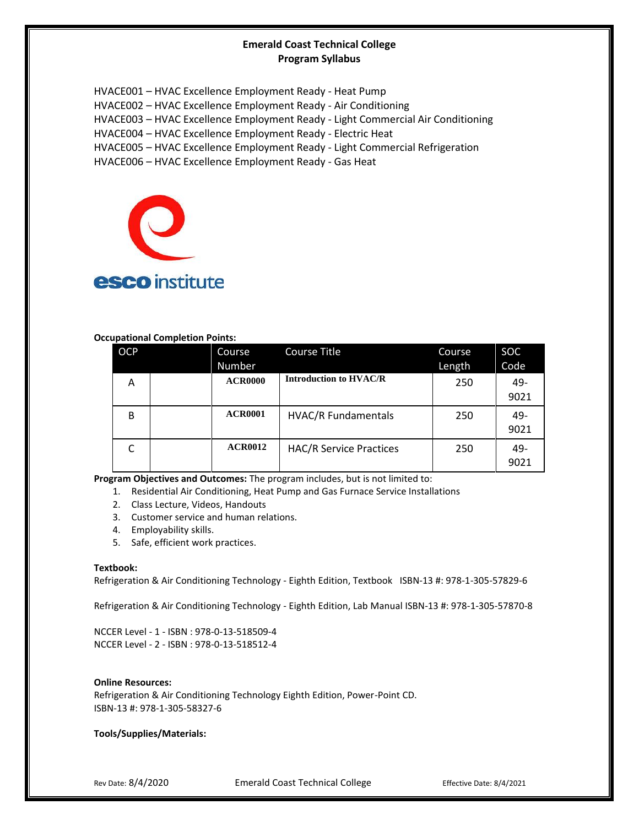HVACE001 – HVAC Excellence Employment Ready - Heat Pump HVACE002 – HVAC Excellence Employment Ready - Air Conditioning HVACE003 – HVAC Excellence Employment Ready - Light Commercial Air Conditioning HVACE004 – HVAC Excellence Employment Ready - Electric Heat HVACE005 – HVAC Excellence Employment Ready - Light Commercial Refrigeration HVACE006 – HVAC Excellence Employment Ready - Gas Heat



## **Occupational Completion Points:**

| <b>OCP</b> | Course         | <b>Course Title</b>            | Course | <b>SOC</b> |
|------------|----------------|--------------------------------|--------|------------|
|            | Number         |                                | Length | Code       |
| Α          | <b>ACR0000</b> | <b>Introduction to HVAC/R</b>  | 250    | 49-        |
|            |                |                                |        | 9021       |
| B          | <b>ACR0001</b> | <b>HVAC/R Fundamentals</b>     | 250    | 49-        |
|            |                |                                |        | 9021       |
|            | <b>ACR0012</b> | <b>HAC/R Service Practices</b> | 250    | 49-        |
|            |                |                                |        | 9021       |

**Program Objectives and Outcomes:** The program includes, but is not limited to:

- 1. Residential Air Conditioning, Heat Pump and Gas Furnace Service Installations
- 2. Class Lecture, Videos, Handouts
- 3. Customer service and human relations.
- 4. Employability skills.
- 5. Safe, efficient work practices.

#### **Textbook:**

Refrigeration & Air Conditioning Technology - Eighth Edition, Textbook ISBN-13 #: 978-1-305-57829-6

Refrigeration & Air Conditioning Technology - Eighth Edition, Lab Manual ISBN-13 #: 978-1-305-57870-8

NCCER Level - 1 - ISBN : 978-0-13-518509-4 NCCER Level - 2 - ISBN : 978-0-13-518512-4

#### **Online Resources:**

Refrigeration & Air Conditioning Technology Eighth Edition, Power-Point CD. ISBN-13 #: 978-1-305-58327-6

**Tools/Supplies/Materials:**

Rev Date: 8/4/2020 **Emerald Coast Technical College** Effective Date: 8/4/2021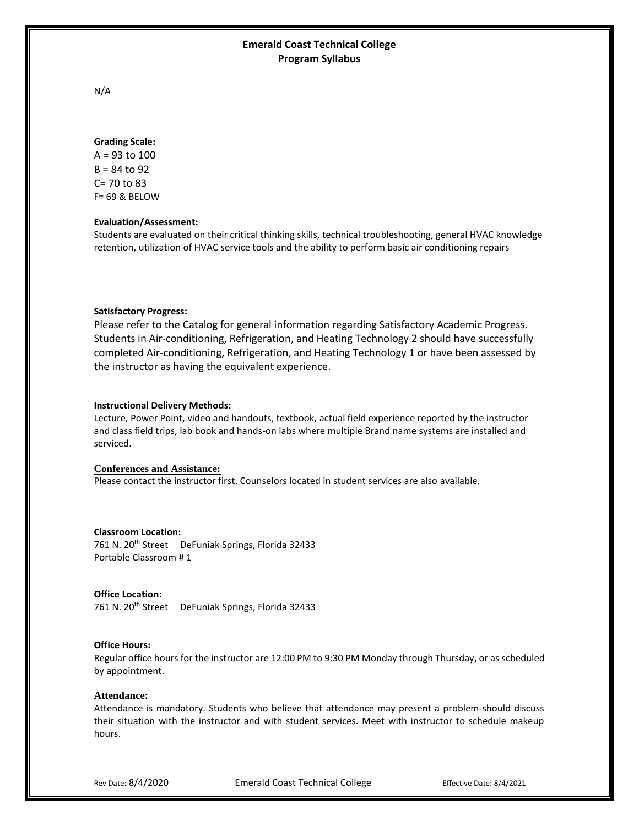N/A

#### **Grading Scale:**

A = 93 to 100  $B = 84$  to 92 C= 70 to 83 F= 69 & BELOW

#### **Evaluation/Assessment:**

Students are evaluated on their critical thinking skills, technical troubleshooting, general HVAC knowledge retention, utilization of HVAC service tools and the ability to perform basic air conditioning repairs

### **Satisfactory Progress:**

Please refer to the Catalog for general information regarding Satisfactory Academic Progress. Students in Air-conditioning, Refrigeration, and Heating Technology 2 should have successfully completed Air-conditioning, Refrigeration, and Heating Technology 1 or have been assessed by the instructor as having the equivalent experience.

#### **Instructional Delivery Methods:**

Lecture, Power Point, video and handouts, textbook, actual field experience reported by the instructor and class field trips, lab book and hands-on labs where multiple Brand name systems are installed and serviced.

## **Conferences and Assistance:** Please contact the instructor first. Counselors located in student services are also available.

## **Classroom Location:** 761 N. 20<sup>th</sup> Street DeFuniak Springs, Florida 32433 Portable Classroom # 1

#### **Office Location:**

761 N. 20<sup>th</sup> Street DeFuniak Springs, Florida 32433

#### **Office Hours:**

Regular office hours for the instructor are 12:00 PM to 9:30 PM Monday through Thursday, or as scheduled by appointment.

#### **Attendance:**

Attendance is mandatory. Students who believe that attendance may present a problem should discuss their situation with the instructor and with student services. Meet with instructor to schedule makeup hours.

Rev Date: 8/4/2020 **Emerald Coast Technical College** Effective Date: 8/4/2021